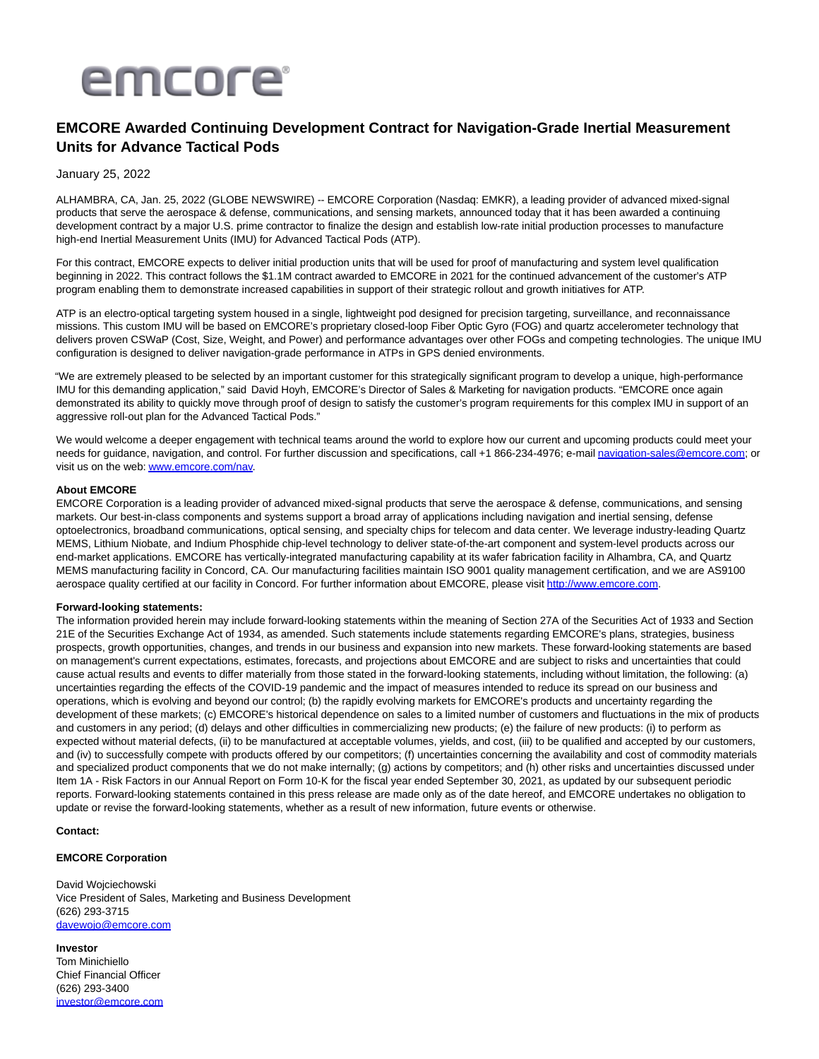

# **EMCORE Awarded Continuing Development Contract for Navigation-Grade Inertial Measurement Units for Advance Tactical Pods**

## January 25, 2022

ALHAMBRA, CA, Jan. 25, 2022 (GLOBE NEWSWIRE) -- EMCORE Corporation (Nasdaq: EMKR), a leading provider of advanced mixed-signal products that serve the aerospace & defense, communications, and sensing markets, announced today that it has been awarded a continuing development contract by a major U.S. prime contractor to finalize the design and establish low-rate initial production processes to manufacture high-end Inertial Measurement Units (IMU) for Advanced Tactical Pods (ATP).

For this contract, EMCORE expects to deliver initial production units that will be used for proof of manufacturing and system level qualification beginning in 2022. This contract follows the \$1.1M contract awarded to EMCORE in 2021 for the continued advancement of the customer's ATP program enabling them to demonstrate increased capabilities in support of their strategic rollout and growth initiatives for ATP.

ATP is an electro-optical targeting system housed in a single, lightweight pod designed for precision targeting, surveillance, and reconnaissance missions. This custom IMU will be based on EMCORE's proprietary closed-loop Fiber Optic Gyro (FOG) and quartz accelerometer technology that delivers proven CSWaP (Cost, Size, Weight, and Power) and performance advantages over other FOGs and competing technologies. The unique IMU configuration is designed to deliver navigation-grade performance in ATPs in GPS denied environments.

"We are extremely pleased to be selected by an important customer for this strategically significant program to develop a unique, high-performance IMU for this demanding application," said David Hoyh, EMCORE's Director of Sales & Marketing for navigation products. "EMCORE once again demonstrated its ability to quickly move through proof of design to satisfy the customer's program requirements for this complex IMU in support of an aggressive roll-out plan for the Advanced Tactical Pods."

We would welcome a deeper engagement with technical teams around the world to explore how our current and upcoming products could meet your needs for guidance, navigation, and control. For further discussion and specifications, call +1 866-234-4976; e-mai[l navigation-sales@emcore.com;](mailto:navigation-sales@emcore.com) or visit us on the web[: www.emcore.com/nav.](https://www.globenewswire.com/Tracker?data=Kf3Q-EgLXVRm8aJydJiCG_V5LzIOcDtyorHLJf53EdvEdhNLlQPrWFfvKt1hRHKTi23GKw-8JgvKMZ7CXbgv496JSST5wHE5npoHieFQuiI=)

## **About EMCORE**

EMCORE Corporation is a leading provider of advanced mixed-signal products that serve the aerospace & defense, communications, and sensing markets. Our best-in-class components and systems support a broad array of applications including navigation and inertial sensing, defense optoelectronics, broadband communications, optical sensing, and specialty chips for telecom and data center. We leverage industry-leading Quartz MEMS, Lithium Niobate, and Indium Phosphide chip-level technology to deliver state-of-the-art component and system-level products across our end-market applications. EMCORE has vertically-integrated manufacturing capability at its wafer fabrication facility in Alhambra, CA, and Quartz MEMS manufacturing facility in Concord, CA. Our manufacturing facilities maintain ISO 9001 quality management certification, and we are AS9100 aerospace quality certified at our facility in Concord. For further information about EMCORE, please visi[t http://www.emcore.com.](https://www.globenewswire.com/Tracker?data=uJA9HWdbck5T5YHsHJvE6tJgArILF5ZvmaUrIxeszIQMciGqmkUzql-Sve9W1hWe9b1w4IFOi9-uT6q-b8Taxw==)

### **Forward-looking statements:**

The information provided herein may include forward-looking statements within the meaning of Section 27A of the Securities Act of 1933 and Section 21E of the Securities Exchange Act of 1934, as amended. Such statements include statements regarding EMCORE's plans, strategies, business prospects, growth opportunities, changes, and trends in our business and expansion into new markets. These forward-looking statements are based on management's current expectations, estimates, forecasts, and projections about EMCORE and are subject to risks and uncertainties that could cause actual results and events to differ materially from those stated in the forward-looking statements, including without limitation, the following: (a) uncertainties regarding the effects of the COVID-19 pandemic and the impact of measures intended to reduce its spread on our business and operations, which is evolving and beyond our control; (b) the rapidly evolving markets for EMCORE's products and uncertainty regarding the development of these markets; (c) EMCORE's historical dependence on sales to a limited number of customers and fluctuations in the mix of products and customers in any period; (d) delays and other difficulties in commercializing new products; (e) the failure of new products: (i) to perform as expected without material defects, (ii) to be manufactured at acceptable volumes, yields, and cost, (iii) to be qualified and accepted by our customers, and (iv) to successfully compete with products offered by our competitors; (f) uncertainties concerning the availability and cost of commodity materials and specialized product components that we do not make internally; (g) actions by competitors; and (h) other risks and uncertainties discussed under Item 1A - Risk Factors in our Annual Report on Form 10-K for the fiscal year ended September 30, 2021, as updated by our subsequent periodic reports. Forward-looking statements contained in this press release are made only as of the date hereof, and EMCORE undertakes no obligation to update or revise the forward-looking statements, whether as a result of new information, future events or otherwise.

## **Contact:**

## **EMCORE Corporation**

David Wojciechowski Vice President of Sales, Marketing and Business Development (626) 293-3715 [davewojo@emcore.com](https://www.globenewswire.com/Tracker?data=qR6TGugCj-fbYjpbdWCnIgr4h1QMw5TENbNKSQpck8evEZBmHTeQyuMO2aQdYlDBTfrGGAM1ePIIITYRn2K3lU3nmpaZ48VyZlI81cN4PgQ=)

#### **Investor**

Tom Minichiello Chief Financial Officer (626) 293-3400 [investor@emcore.com](mailto:investor@emcore.com)